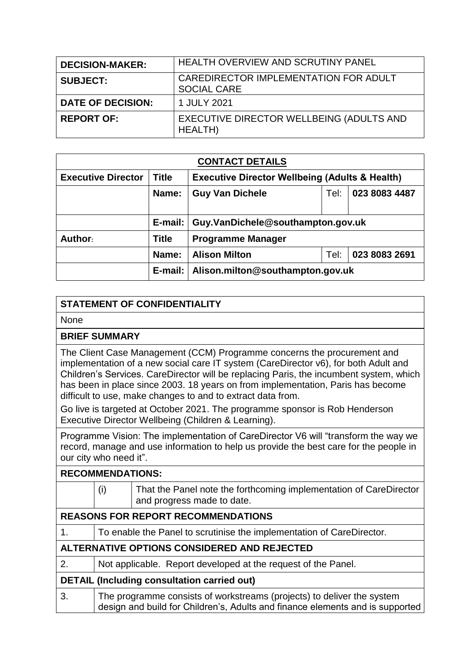| <b>DECISION-MAKER:</b>   | <b>HEALTH OVERVIEW AND SCRUTINY PANEL</b>                   |
|--------------------------|-------------------------------------------------------------|
| <b>SUBJECT:</b>          | CAREDIRECTOR IMPLEMENTATION FOR ADULT<br><b>SOCIAL CARE</b> |
| <b>DATE OF DECISION:</b> | 1 JULY 2021                                                 |
| <b>REPORT OF:</b>        | EXECUTIVE DIRECTOR WELLBEING (ADULTS AND<br>HEALTH)         |

| <b>CONTACT DETAILS</b>    |              |                                                           |      |               |  |
|---------------------------|--------------|-----------------------------------------------------------|------|---------------|--|
| <b>Executive Director</b> | <b>Title</b> | <b>Executive Director Wellbeing (Adults &amp; Health)</b> |      |               |  |
|                           | Name:        | <b>Guy Van Dichele</b>                                    | Tel: | 023 8083 4487 |  |
|                           | E-mail:      | Guy.VanDichele@southampton.gov.uk                         |      |               |  |
| Author:                   | <b>Title</b> | <b>Programme Manager</b>                                  |      |               |  |
|                           | Name:        | <b>Alison Milton</b>                                      | Tel: | 023 8083 2691 |  |
|                           | E-mail:      | Alison.milton@southampton.gov.uk                          |      |               |  |

## **STATEMENT OF CONFIDENTIALITY**

None

## **BRIEF SUMMARY**

The Client Case Management (CCM) Programme concerns the procurement and implementation of a new social care IT system (CareDirector v6), for both Adult and Children's Services. CareDirector will be replacing Paris, the incumbent system, which has been in place since 2003. 18 years on from implementation, Paris has become difficult to use, make changes to and to extract data from.

Go live is targeted at October 2021. The programme sponsor is Rob Henderson Executive Director Wellbeing (Children & Learning).

Programme Vision: The implementation of CareDirector V6 will "transform the way we record, manage and use information to help us provide the best care for the people in our city who need it".

## **RECOMMENDATIONS:**

|                                                    | (i)                                                                                                                                                     | That the Panel note the forthcoming implementation of CareDirector<br>and progress made to date. |  |
|----------------------------------------------------|---------------------------------------------------------------------------------------------------------------------------------------------------------|--------------------------------------------------------------------------------------------------|--|
| <b>REASONS FOR REPORT RECOMMENDATIONS</b>          |                                                                                                                                                         |                                                                                                  |  |
| 1.                                                 | To enable the Panel to scrutinise the implementation of CareDirector.                                                                                   |                                                                                                  |  |
| ALTERNATIVE OPTIONS CONSIDERED AND REJECTED        |                                                                                                                                                         |                                                                                                  |  |
| 2.                                                 | Not applicable. Report developed at the request of the Panel.                                                                                           |                                                                                                  |  |
| <b>DETAIL (Including consultation carried out)</b> |                                                                                                                                                         |                                                                                                  |  |
| 3.                                                 | The programme consists of workstreams (projects) to deliver the system<br>design and build for Children's, Adults and finance elements and is supported |                                                                                                  |  |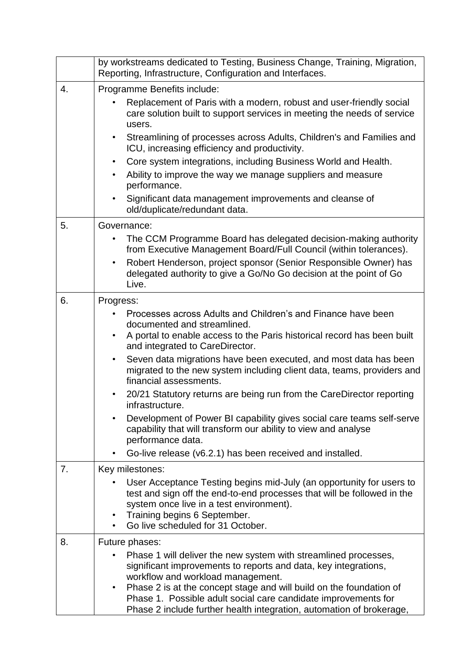|    | by workstreams dedicated to Testing, Business Change, Training, Migration,<br>Reporting, Infrastructure, Configuration and Interfaces.                                            |  |  |  |
|----|-----------------------------------------------------------------------------------------------------------------------------------------------------------------------------------|--|--|--|
| 4. | Programme Benefits include:                                                                                                                                                       |  |  |  |
|    | Replacement of Paris with a modern, robust and user-friendly social<br>care solution built to support services in meeting the needs of service<br>users.                          |  |  |  |
|    | Streamlining of processes across Adults, Children's and Families and<br>٠<br>ICU, increasing efficiency and productivity.                                                         |  |  |  |
|    | Core system integrations, including Business World and Health.<br>٠                                                                                                               |  |  |  |
|    | Ability to improve the way we manage suppliers and measure<br>٠<br>performance.                                                                                                   |  |  |  |
|    | Significant data management improvements and cleanse of<br>$\bullet$<br>old/duplicate/redundant data.                                                                             |  |  |  |
| 5. | Governance:                                                                                                                                                                       |  |  |  |
|    | The CCM Programme Board has delegated decision-making authority<br>from Executive Management Board/Full Council (within tolerances).                                              |  |  |  |
|    | Robert Henderson, project sponsor (Senior Responsible Owner) has<br>$\bullet$<br>delegated authority to give a Go/No Go decision at the point of Go<br>Live.                      |  |  |  |
| 6. | Progress:                                                                                                                                                                         |  |  |  |
|    | Processes across Adults and Children's and Finance have been                                                                                                                      |  |  |  |
|    | documented and streamlined.                                                                                                                                                       |  |  |  |
|    | A portal to enable access to the Paris historical record has been built<br>٠<br>and integrated to CareDirector.                                                                   |  |  |  |
|    | Seven data migrations have been executed, and most data has been<br>$\bullet$<br>migrated to the new system including client data, teams, providers and<br>financial assessments. |  |  |  |
|    | 20/21 Statutory returns are being run from the CareDirector reporting<br>٠<br>infrastructure.                                                                                     |  |  |  |
|    | Development of Power BI capability gives social care teams self-serve<br>٠<br>capability that will transform our ability to view and analyse<br>performance data.                 |  |  |  |
|    | Go-live release (v6.2.1) has been received and installed.                                                                                                                         |  |  |  |
| 7. | Key milestones:                                                                                                                                                                   |  |  |  |
|    | User Acceptance Testing begins mid-July (an opportunity for users to                                                                                                              |  |  |  |
|    | test and sign off the end-to-end processes that will be followed in the                                                                                                           |  |  |  |
|    | system once live in a test environment).<br>Training begins 6 September.<br>٠                                                                                                     |  |  |  |
|    | Go live scheduled for 31 October.                                                                                                                                                 |  |  |  |
| 8. | Future phases:                                                                                                                                                                    |  |  |  |
|    | Phase 1 will deliver the new system with streamlined processes,                                                                                                                   |  |  |  |
|    | significant improvements to reports and data, key integrations,<br>workflow and workload management.                                                                              |  |  |  |
|    | Phase 2 is at the concept stage and will build on the foundation of<br>٠                                                                                                          |  |  |  |
|    | Phase 1. Possible adult social care candidate improvements for<br>Phase 2 include further health integration, automation of brokerage,                                            |  |  |  |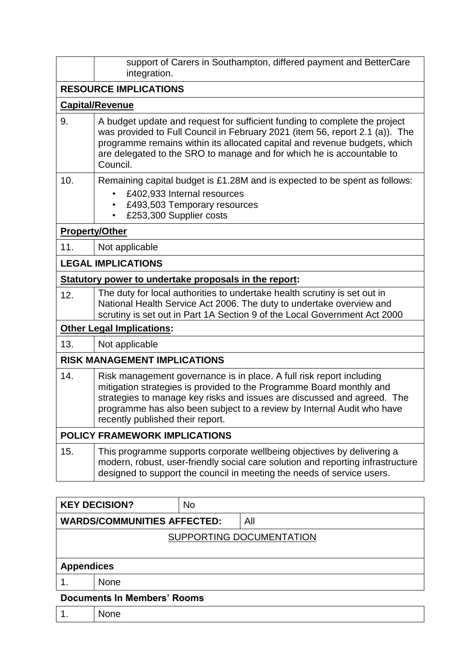|                       | support of Carers in Southampton, differed payment and BetterCare<br>integration.                                                                                                                                                                                                                                                     |  |  |  |
|-----------------------|---------------------------------------------------------------------------------------------------------------------------------------------------------------------------------------------------------------------------------------------------------------------------------------------------------------------------------------|--|--|--|
|                       | <b>RESOURCE IMPLICATIONS</b>                                                                                                                                                                                                                                                                                                          |  |  |  |
|                       | <b>Capital/Revenue</b>                                                                                                                                                                                                                                                                                                                |  |  |  |
| 9.                    | A budget update and request for sufficient funding to complete the project<br>was provided to Full Council in February 2021 (item 56, report 2.1 (a)). The<br>programme remains within its allocated capital and revenue budgets, which<br>are delegated to the SRO to manage and for which he is accountable to<br>Council.          |  |  |  |
| 10.                   | Remaining capital budget is £1.28M and is expected to be spent as follows:<br>£402,933 Internal resources<br>£493,503 Temporary resources<br>$\bullet$<br>£253,300 Supplier costs                                                                                                                                                     |  |  |  |
| <b>Property/Other</b> |                                                                                                                                                                                                                                                                                                                                       |  |  |  |
| 11.                   | Not applicable                                                                                                                                                                                                                                                                                                                        |  |  |  |
|                       | <b>LEGAL IMPLICATIONS</b>                                                                                                                                                                                                                                                                                                             |  |  |  |
|                       | Statutory power to undertake proposals in the report:                                                                                                                                                                                                                                                                                 |  |  |  |
| 12.                   | The duty for local authorities to undertake health scrutiny is set out in<br>National Health Service Act 2006. The duty to undertake overview and<br>scrutiny is set out in Part 1A Section 9 of the Local Government Act 2000                                                                                                        |  |  |  |
|                       | <b>Other Legal Implications:</b>                                                                                                                                                                                                                                                                                                      |  |  |  |
| 13.                   | Not applicable                                                                                                                                                                                                                                                                                                                        |  |  |  |
|                       | <b>RISK MANAGEMENT IMPLICATIONS</b>                                                                                                                                                                                                                                                                                                   |  |  |  |
| 14.                   | Risk management governance is in place. A full risk report including<br>mitigation strategies is provided to the Programme Board monthly and<br>strategies to manage key risks and issues are discussed and agreed. The<br>programme has also been subject to a review by Internal Audit who have<br>recently published their report. |  |  |  |
|                       | <b>POLICY FRAMEWORK IMPLICATIONS</b>                                                                                                                                                                                                                                                                                                  |  |  |  |
| 15.                   | This programme supports corporate wellbeing objectives by delivering a<br>modern, robust, user-friendly social care solution and reporting infrastructure<br>designed to support the council in meeting the needs of service users.                                                                                                   |  |  |  |

|                                    | <b>KEY DECISION?</b>               | <b>No</b> |     |  |
|------------------------------------|------------------------------------|-----------|-----|--|
|                                    | <b>WARDS/COMMUNITIES AFFECTED:</b> |           | All |  |
| SUPPORTING DOCUMENTATION           |                                    |           |     |  |
|                                    |                                    |           |     |  |
| <b>Appendices</b>                  |                                    |           |     |  |
|                                    | <b>None</b>                        |           |     |  |
| <b>Documents In Members' Rooms</b> |                                    |           |     |  |
|                                    | <b>None</b>                        |           |     |  |